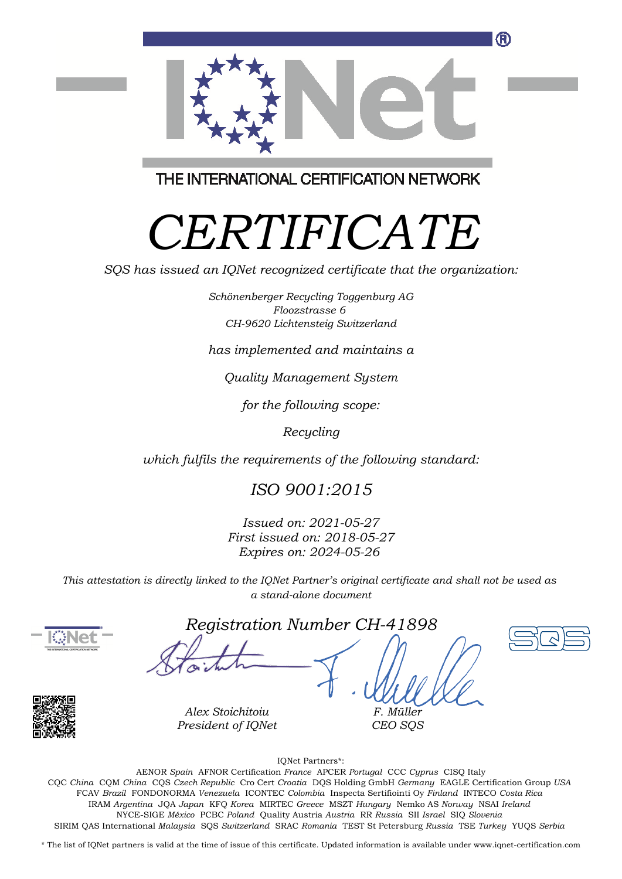

THE INTERNATIONAL CERTIFICATION NETWORK

# *CERTIFICATE*

*SQS has issued an IQNet recognized certificate that the organization:*

*Schönenberger Recycling Toggenburg AG Floozstrasse 6 CH-9620 Lichtensteig Switzerland*

*has implemented and maintains a*

*Quality Management System*

*for the following scope:*

*Recycling*

*which fulfils the requirements of the following standard:*

### *ISO 9001:2015*

*Issued on: 2021-05-27 First issued on: 2018-05-27 Expires on: 2024-05-26*

*This attestation is directly linked to the IQNet Partner's original certificate and shall not be used as a stand-alone document*



*Registration Number CH-41898*



*Alex Stoichitoiu President of IQNet*

*F. Müller CEO SQS*



IQNet Partners\*:

This annex is only valid in connection with the above-mentioned certificate. FCAV *Brazil* FONDONORMA *Venezuela* ICONTEC *Colombia* Inspecta Sertifiointi Oy *Finland* INTECO *Costa Rica* AENOR *Spain* AFNOR Certification *France* APCER *Portugal* CCC *Cyprus* CISQ Italy CQC *China* CQM *China* CQS *Czech Republic* Cro Cert *Croatia* DQS Holding GmbH *Germany* EAGLE Certification Group *USA* IRAM *Argentina* JQA *Japan* KFQ *Korea* MIRTEC *Greece* MSZT *Hungary* Nemko AS *Norway* NSAI *Ireland* NYCE-SIGE *México* PCBC *Poland* Quality Austria *Austria* RR *Russia* SII *Israel* SIQ *Slovenia* SIRIM QAS International *Malaysia* SQS *Switzerland* SRAC *Romania* TEST St Petersburg *Russia* TSE *Turkey* YUQS *Serbia*

\* The list of IQNet partners is valid at the time of issue of this certificate. Updated information is available under www.iqnet-certification.com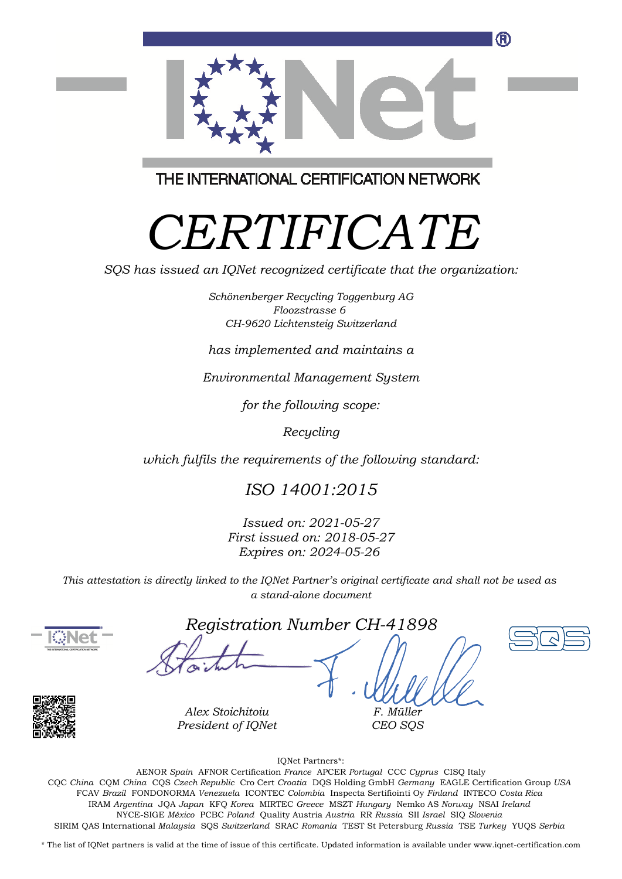

THE INTERNATIONAL CERTIFICATION NETWORK

# *CERTIFICATE*

*SQS has issued an IQNet recognized certificate that the organization:*

*Schönenberger Recycling Toggenburg AG Floozstrasse 6 CH-9620 Lichtensteig Switzerland*

*has implemented and maintains a*

*Environmental Management System*

*for the following scope:*

*Recycling*

*which fulfils the requirements of the following standard:*

*ISO 14001:2015*

*Issued on: 2021-05-27 First issued on: 2018-05-27 Expires on: 2024-05-26*

*This attestation is directly linked to the IQNet Partner's original certificate and shall not be used as a stand-alone document*



*Registration Number CH-41898*



*Alex Stoichitoiu President of IQNet*

*F. Müller CEO SQS*



IQNet Partners\*:

This annex is only valid in connection with the above-mentioned certificate. FCAV *Brazil* FONDONORMA *Venezuela* ICONTEC *Colombia* Inspecta Sertifiointi Oy *Finland* INTECO *Costa Rica* AENOR *Spain* AFNOR Certification *France* APCER *Portugal* CCC *Cyprus* CISQ Italy CQC *China* CQM *China* CQS *Czech Republic* Cro Cert *Croatia* DQS Holding GmbH *Germany* EAGLE Certification Group *USA* IRAM *Argentina* JQA *Japan* KFQ *Korea* MIRTEC *Greece* MSZT *Hungary* Nemko AS *Norway* NSAI *Ireland* NYCE-SIGE *México* PCBC *Poland* Quality Austria *Austria* RR *Russia* SII *Israel* SIQ *Slovenia* SIRIM QAS International *Malaysia* SQS *Switzerland* SRAC *Romania* TEST St Petersburg *Russia* TSE *Turkey* YUQS *Serbia*

\* The list of IQNet partners is valid at the time of issue of this certificate. Updated information is available under www.iqnet-certification.com